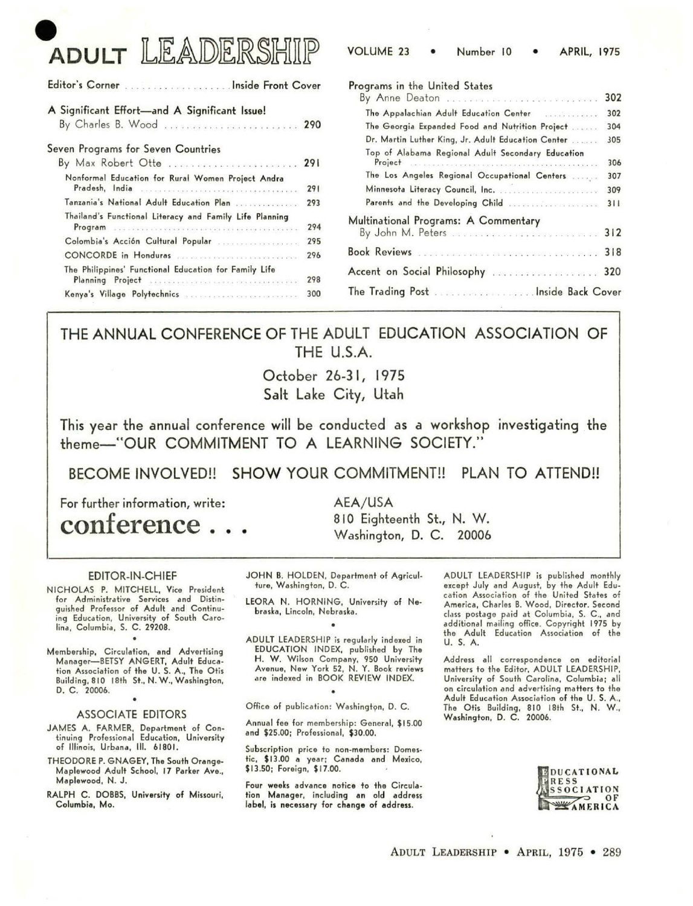# **ADULT LEADERSH**

| <b>VOLUME 23</b><br>Number 10 | <b>APRIL, 1975</b> |
|-------------------------------|--------------------|
|-------------------------------|--------------------|

|                                                                                                                            |            | Programs in the United States                                                                           |     |  |  |
|----------------------------------------------------------------------------------------------------------------------------|------------|---------------------------------------------------------------------------------------------------------|-----|--|--|
| A Significant Effort-and A Significant Issue!                                                                              |            |                                                                                                         | 302 |  |  |
| By Charles B. Wood  290                                                                                                    |            | The Georgia Expanded Food and Nutrition Project                                                         | 304 |  |  |
| Seven Programs for Seven Countries                                                                                         |            | Dr. Martin Luther King, Jr. Adult Education Center<br>Top of Alabama Regional Adult Secondary Education | 305 |  |  |
| By Max Robert Otte  291                                                                                                    |            | Project: The assessment construction and construction and an analysis of                                | 306 |  |  |
| Nonformal Education for Rural Women Project Andra                                                                          |            | The Los Angeles Regional Occupational Centers                                                           | 307 |  |  |
| Pradesh, India and continuous continuous continuous continuous                                                             | 291        |                                                                                                         | 309 |  |  |
| Tanzania's National Adult Education Plan                                                                                   | 293        |                                                                                                         | 311 |  |  |
| Thailand's Functional Literacy and Family Life Planning<br>Program assessment construction of the continuum of the Program | 294<br>295 | Multinational Programs: A Commentary                                                                    |     |  |  |
|                                                                                                                            | 296        | Book Reviews and and all and all and all and all 218                                                    |     |  |  |
| The Philippines' Functional Education for Family Life<br>Planning Project and an arrangement of the Planning Project and   | 298        |                                                                                                         |     |  |  |
|                                                                                                                            | 300        |                                                                                                         |     |  |  |

### THE ANNUAL CONFERENCE OF THE ADULT EDUCATION ASSOCIATION OF THE U.S.A.

October 26-3 I, 1975 Salt Lake City, Utah

This year the annual conference will be conducted as a workshop investigating the theme-"OUR COMMITMENT TO A LEARNING SOCIETY."

BECOME INVOLVED!! SHOW YOUR COMMITMENT!! PLAN TO ATTEND!!

For further information, write:

conference . . .

AEA/USA 810 Eighteenth St., N. W.

Washington, D. C. 20006

#### EDITOR-IN-CHIEF

NICHOLAS P. MITCHELL, Vice President for Administrative Services and Distinguished Professor of Adult and Continuing Education, University of South Carolina, Columbia, S. C. 29208.

Membership, Circulation, **and** Advertising Manager-BETSY ANGERT, Adult Education Association of the U. S. A., The Otis Building, 810 18th St., N. W., Washington, D. C. 20006.

#### ASSOCIATE EDITORS

- JAMES A. FARMER, Department of Continuing Professional Education, University of Illinois, Urbana, Ill. 61801.
- THEODORE P. GNAGEY, The South Orange-Maplewood Adult School, 17 Parker **Ave.,**  Maplewood, N. J.

RALPH C. DOBBS, University of Missouri, Columbia, Mo.

JOHN B. HOLDEN, Department of Agriculture, Washington, D. C.

LEORA N. HORNING, University of Nebraska, Lincoln, Nebraska. •

ADULT LEADERSHIP is regularly indexed in EDUCATION INDEX, published by The H. W. Wilson Company, 950 University Avenue, New York 52, N. Y. Book reviews are indexed in BOOK REVIEW INDEX.

Office of publication: Washington, D. C.

Annual feo for membership: General, \$15.00 and \$25.00; Professional, \$30.00.

Subscription price to non-members: Domestic, \$1 3.00 **a** year; Canada and Mexico, \$13.50; Foreign, \$17.00.

Four **weeks advance** notice to the Circulation **Manager,** including **an** old **address label, is necessary** for **change** of **address.** 

ADULT LEADERSHIP is published monthly except July and August, by the Adult Education Association of the United States of America, Charles B. Wood, Director. Second class postage paid at Columbia, S. C., and<br>additional mailing office. Copyright 1975 by the Adult Education Association of the u. s. A.

Address all correspondence on editorial matters to the Editor, ADULT LEADERSHIP, University of South Carolina, Columbia; all on circulation and advertising matters to the Adult Education Association of the U. S. A., The Otis Building, 810 18th St., N. W., Washington, D. C. 20006.

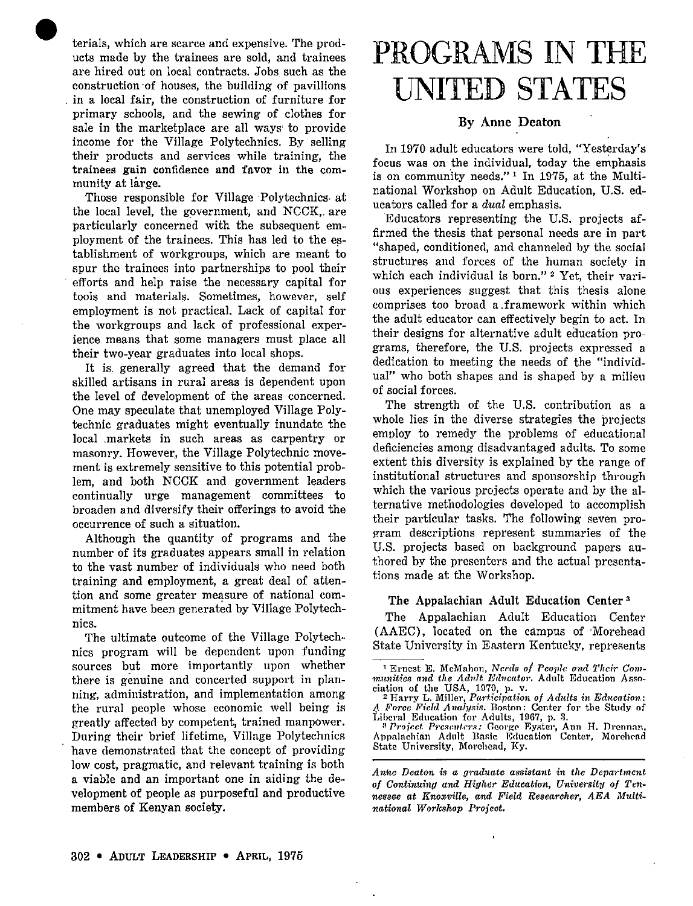• terials, which are scarce and expensive. The products made by the trainees are sold, and trainees are hired out on local contracts. Jobs such as the construction ·of houses, the building of pavillions in a local fair, the construction of furniture for primary schools, and the sewing of clothes for sale in the marketplace are all ways· to provide income for the Village Polytechnics. By selling their products and services while training, the trainees gain confidence and favor in the community at large.

Those responsible for Village Polytechnics at the local level, the government, and NCCK,. are particularly concerned with the subsequent employment of the trainees. This has led to the establishment of workgroups, which are meant to spur the trainees into partnerships to pool their efforts and help raise the necessary capital for tools and materials. Sometimes, however, self employment is not practical. Lack of capital for the workgroups and lack of professional experience means that some managers must place all their two-year graduates into local shops.

It is. generally agreed that the demand for skilled artisans in rural areas is dependent upon the level of development of the areas concerned. One may speculate that unemployed Village Polytechnic graduates might eventually inundate the local .markets in such areas as carpentry or masonry. However, the Village Polytechnic movement is extremely sensitive to this potential problem, and both NCCK and government leaders continually urge management committees to broaden and diversify their offerings to avoid the occurrence of such a situation.

Although the quantity of programs and the number of its graduates appears small in relation to the vast number of individuals who need both training and employment, a great deal of attention and some greater measure of national commitment have been generated by Village Polytech**nics.** 

The ultimate outcome of the Village Polytechnics program will be dependent upon funding sources but more importantly upon whether there is genuine and concerted support in planning, administration, and implementation among the rural people whose economic well being is greatly affected by competent, trained manpower. During their brief lifetime, Village Polytechnics have demonstrated that the concept of providing low cost, pragmatic, and relevant training is both a viable and an important one in aiding the development of people as purposeful and productive members of Kenyan society.

## **PROGRAMS IN THE UNITED STATES**

#### **By Anne Deaton**

In 1970 adult educators were told, "Yesterday's focus was on the individual, today the emphasis is on community needs."<sup>1</sup> In 1975, at the Multinational Workshop on Adult Education, U.S. educators called for a *dual* emphasis.

Educators representing the U.S. projects affirmed the thesis that personal needs are in part "shaped, conditioned, and channeled by the social structures and forces of the human society in which each individual is born."<sup>2</sup> Yet, their various experiences suggest that this thesis alone comprises too broad a .framework within which the adult educator can effectively begin to act. In their designs for alternative adult education programs, therefore, the U.S. projects expressed a dedication to meeting the needs of the "individual" who both shapes and is shaped by a milieu of social forces.

The strength of the U.S. contribution as a whole lies in the diverse strategies the projects employ to remedy the problems of educational deficiencies among disadvantaged adults. To some extent this diversity is explained by the range of institutional structures and sponsorship through which the various projects operate and by the alternative methodologies developed to accomplish their particular tasks. The following seven program descriptions represent summaries of the U.S. projects based on background papers authored by the presenters and the actual presentations made at the Workshop.

#### **The Appalachian Adult Education Center** <sup>3</sup>

The Appalachian Adult Education Center (AAEC), located on the campus of ·Morehead State University in Eastern Kentucky, represents

Appalachian Adult Basic Education Center, Morehead State University, Morehead, Ky.

*Anne Deaton* **is** *a graduate assistant in the Department of Continuing and Higher Education, University of Ten*nessee at Knoxville, and Field Researcher, AEA Multi $national$  *Workshop Project.* 

<sup>&</sup>lt;sup>1</sup> Ernest E. McMahon, *Needs of People and Their Com* $m$ *unities and the Adult Educator.* Adult Education Asso**ciat10n of the USA, 1970, p. v.** 

<sup>2</sup>**Harry~- Miller,** *Partieipaf.ion of Aclnlts in Education:*  Liberal Education for Adults, 1967, p. 3. *A Force F1cld A 11a}11sifl.* **Boston: Center for the Study of**  *i*;beral\_Education\_for\_Adults, 1967, p. 3.<br>- <sup>3</sup> *Project\_Presenters:* George\_Eyster, Ann\_H. Drennan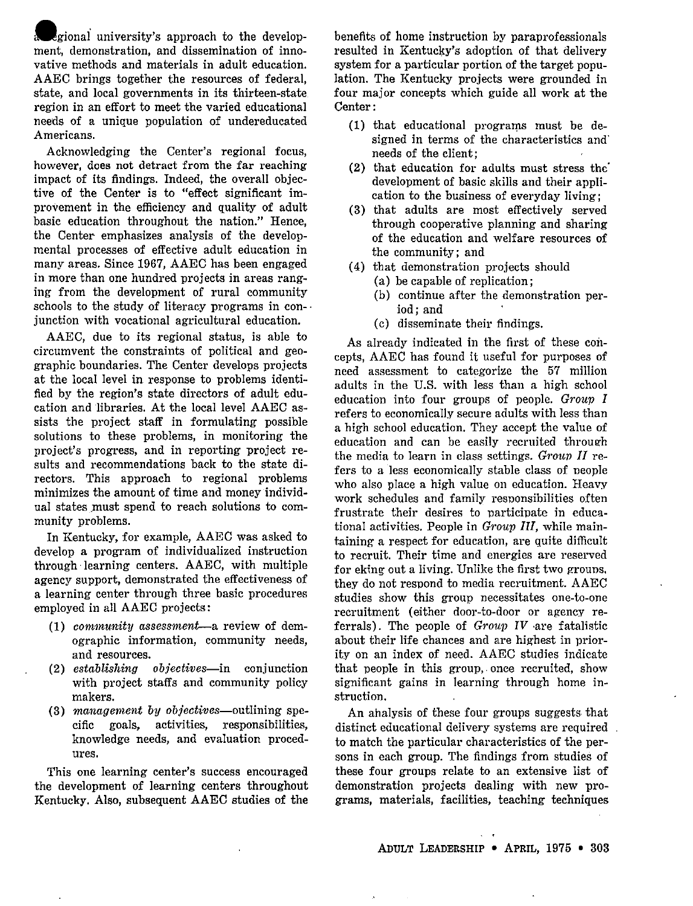.gional university's approach to the development, demonstration, and dissemination of innovative methods and materials in adult education. AAEC brings together the resources of federal, state, and local governments in its thirteen-state region in an effort to meet the varied educational needs of a unique population of undereducated Americans.

Acknowledging the Center's regional focus, however, does not detract from the far reaching impact of its findings. Indeed, the overall objective of the Center is to "effect significant improvement in the efficiency and quality of adult basic education throughout the nation." Hence, the Center emphasizes analysis of the developmental processes of effective adult education in many areas. Since 1967, AAEC has been engaged in more than one hundred projects in areas ranging from the development of rural community schools to the study of literacy programs in conjunction with vocational agricultural education.

AAEC, due to its regional status, is able to circumvent the constraints of political and geographic boundaries. The Center develops projects at the local level in response to problems identified by the region's state directors of adult education and libraries. At the local level AAEC assists the project staff in formulating possible solutions to these problems, in monitoring the project's progress, and in reporting project results and recommendations back to the state directors. This approach to regional problems minimizes the amount of time and money individual states must spend to reach solutions to community problems.

In Kentucky, for example, AAEC was asked to develop a program of individualized instruction through· learning centers. AAEC, with multiple agency support, demonstrated the effectiveness of a learning center through three basic procedures employed in all AAEC projects:

- ( 1) *cormnunity assessment--a* review of demographic information, community needs, and resources.
- (2) *establishing ob.iectives-in* conjunction with project staffs and community policy makers.
- (3) *management by objectives-outlining* specific goals, activities, responsibilities, knowledge needs, and evaluation procedures.

This one learning center's success encouraged the development of learning centers throughout Kentucky. Also, subsequent AAEC studies of the benefits of home instruction by paraprofessionals resulted in Kentucky's adoption of that delivery system for a particular portion of the target population. The Kentucky projects were grounded in four major concepts which guide all work at the Center:

- (1) that educational programs must be designed in terms of the characteristics and' needs of the client;
- (2) that education for adults must stress the' development of basic skills and their application to the business of everyday living;
- (3) that adults are most effectively served through cooperative planning and sharing of the education and welfare resources of the community; and
- ( 4) that demonstration projects should
	- (a) be capable of replication;
	- (b) continue after the demonstration period; and
	- (c) disseminate their findings.

As already indicated in the first of these concepts, AAEC has found it useful for purposes of need assessment to categorize the 57 million adults in the U.S. with less than a high school education into four groups of people. *Group I*  refers to economically secure adults with less than a high school education. They accept the value of education and can be easily recruited through the media to learn in class settings. *Group II* refers to a less economically stable class of neople who also place a high value on education. Heavy work schedules and family responsibilities often frustrate their desires to participate in educational activities. People in *Group* III, while maintaining a respect for education, are quite difficult to recruit. Their time and energies are reserved for eking out a living. Unlike the first two grouns, they do not respond to media recruitment. AAEC studies show this group necessitates one-to-one recruitment ( either door-to-door or agency referrals). The people of *Group IV* are fatalistic about their life chances and are highest in priority on an index of need. AAEC studies indicate that people in this group,. once recruited, show significant gains in learning through home instruction.

An ahalysis of these four groups suggests. that distinct educational delivery systems are required to match the particular characteristics of the persons in each group. The findings from studies of these four groups relate to an extensive list of demonstration projects dealing with new programs, materials, facilities, teaching techniques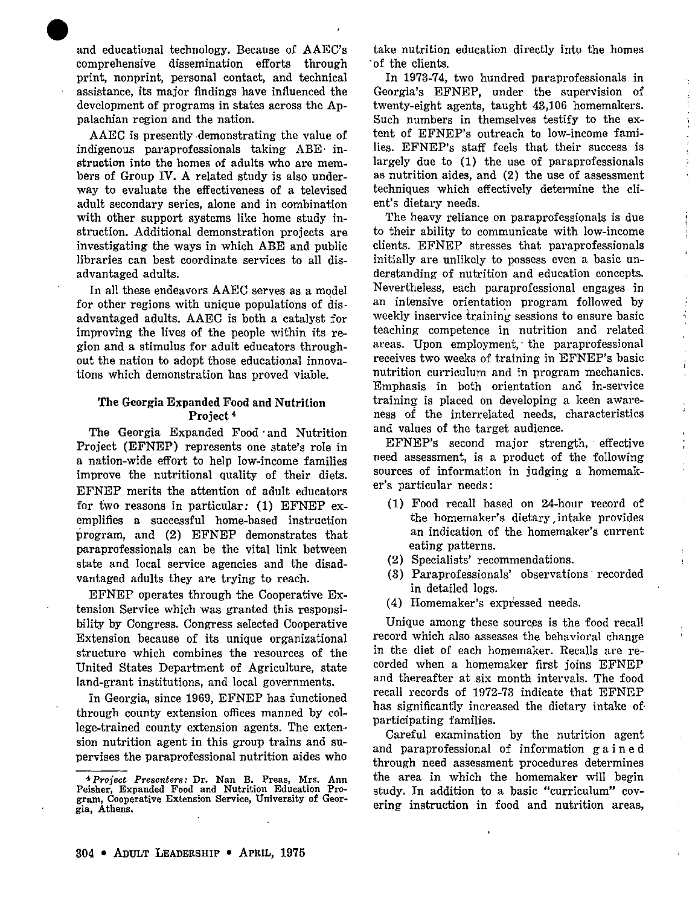• and educational technology. Because of AAEC's comprehensive dissemination efforts through print, nonprint, personal contact, and technical assistance, its major findings have influenced the development of programs in states across the Appalachian region and the nation.

AAEC is presently demonstrating the value of indigenous paraprofessionals taking ABE· instruction into the homes of adults who are members of Group IV. A related study is also underway to evaluate the effectiveness of a televised adult secondary series, alone and in combination with other support systems like home study instruction. Additional demonstration projects are investigating the ways in which ABE and public libraries can best coordinate services to all disadvantaged adults.

In all these endeavors AAEC serves as a model for other regions with unique populations of disadvantaged adults. AAEC is both a catalyst for improving the lives of the people within its region and a stimulus for adult educators throughout the nation to adopt those educational innovations which demonstration has proved viable.

#### **The Georgia Expanded Food and Nutrition Project•**

The Georgia Expanded Food · and Nutrition Project (EFNEP) represents one state's role in a nation-wide effort to help low-income families improve the nutritional quality of their diets. EFNEP merits the attention of adult educators for two reasons in particular: (1) EFNEP exemplifies a successful home-based instruction program, and (2) EFNEP demonstrates that paraprofessionals can be the vital link between state and local service agencies and the disadvantaged adults they are trying to reach.

EFNEP operates through the Cooperative Extension Service which was granted this responsibility by Congress. Congress selected Cooperative Extension because of its unique organizational structure which combines the resources of the United States Department of Agriculture, state land-grant institutions, and local governments.

In Georgia, since 1969, EFNEP has functioned through county extension offices manned by college-trained county extension agents. The extension nutrition agent in this group trains and supervises the paraprofessional nutrition aides who take nutrition education directly into the homes · of the clients.

In 1973-74, two hundred paraprofessionals in Georgia's EFNEP, under the supervision of twenty-eight agents, taught 43,106 homemakers. Such numbers in themselves testify to the extent of EFNEP's outreach to low-income families. EFNEP's staff feels that their success is largely due to (1) the use of paraprofessionals as nutrition aides, and (2) the use of assessment techniques which effectively determine the client's dietary needs.

The heavy reliance on paraprofessionals is due to their ability to communicate with low-income clients. EFNEP stresses that paraprofessionals initially are unlikely to possess even a basic understanding of nutrition and education concepts. Nevertheless, each paraprofessional engages in an intensive orientation program followed by weekly inservice training sessions to ensure basic teaching competence in nutrition and related areas. Upon employment, the paraprofessional receives two weeks of training in EFNEP's basic nutrition curriculum and in program mechanics. Emphasis in both orientation and in-service training is placed on developing a keen awareness of the interrelated needs, characteristics and values of the target audience.

ń,

EFNEP's second major strength, effective need assessment, is a product of the following sources of information in judging a homemaker's particular needs:

- (1) Food recall based on 24-hour record of the homemaker's dietary, intake provides an indication of the homemaker's current eating patterns.
- (2) Specialists' recommendations.
- (3) Paraprofessionals' observations· recorded in detailed logs.
- ( 4) Homemaker's expressed needs.

Unique among these sources is the food recall record which also assesses the behavioral change in the diet of each homemaker. Recalls are recorded when a homemaker first joins EFNEP and thereafter at six month intervals. The food recall records of 1972-73 indicate that EFNEP has significantly increased the dietary intake of participating families.

Careful examination by the nutrition agent and paraprofessional of information gain e d through need assessment procedures determines the area in which the homemaker will begin study. In addition to a basic "curriculum" covering instruction in food and nutrition areas,

**<sup>4</sup>***Project Presenters:* **Dr. Nan B. Preas, Mrs. Ann Peisher, Expanded Food and Nutrition Education Program, Cooperative Extension Service, University of Georgia, Athens.**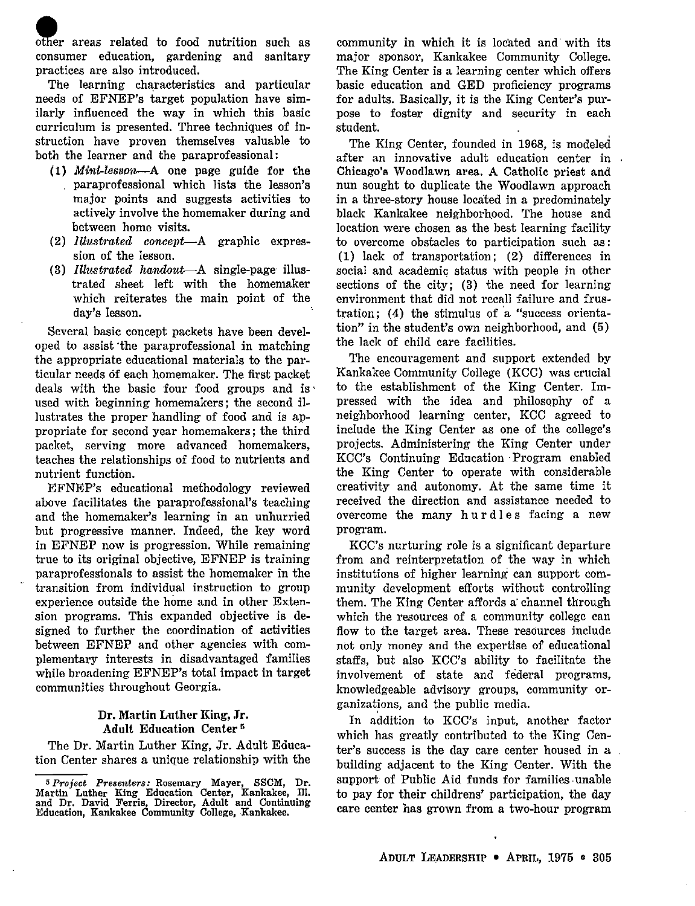other areas related to food nutrition such as consumer education, gardening and sanitary practices are also introduced.

The learning characteristics and particular needs of EFNEP's target population have similarly influenced the way in which this basic curriculum is presented. Three techniques of instruction have proven themselves valuable to both the learner and the paraprofessional:

- (l) *Minl,..lesson-A* one page guide for the paraprofessional which lists the lesson's major points and suggests activities to actively involve the homemaker during and between home visits.
- (2) *Illustrated concept-A* graphic expression of the lesson.
- (3) *Illustrated handout-A* single-page illustrated sheet left with the homemaker which reiterates the main point of the day's lesson.

Several basic concept packets have been developed to assist ·the paraprofessional in matching the appropriate educational materials to the particular needs 6f each homemaker. The first packet deals with the basic four food groups and is  $\mathbf{r}$ used with beginning homemakers; the second illustrates the proper handling of food and is appropriate for second year homemakers; the third packet, serving more advanced homemakers, teaches the relationships of food to nutrients and nutrient function.

EFNEP's educational methodology reviewed above facilitates the paraprofessional's teaching and the homemaker's learning in an unhurried but progressive manner. Indeed, the key word in EFNEP now is progression. While remaining true to its original objective, EFNEP is training paraprofessionals to assist the homemaker in the transition from individual instruction to group experience outside the home and in other Extension programs. This expanded objective is designed to further the coordination of activities between EFNEP and other agencies with complementary interests in disadvantaged families while broadening EFNEP's total impact in target communities throughout Georgia.

#### **Dr. Martin Luther King, Jr. Adult Education Center** <sup>5</sup>

The Dr. Martin Luther King, Jr. Adult Education Center shares a unique relationship with the community in which it is located and with its major sponsor, Kankakee Community College. The King Center is a learning center which offers basic education and GED proficiency programs for adults. Basically, it is the King Center's purpose to foster dignity and security in each student.

The King Center, founded in 1968, is modeled after an innovative adult education center in Chicago's Woodlawn area. A Catholic priest and nun sought to duplicate the Woodlawn approach in a three-story house located in a predominately black Kankakee neighborhood. The house and location were chosen as the best learning facility to overcome obstacles to participation such as : (1) lack of transportation; (2) differences in social and academic status with people in other sections of the city; (3) the need for learning environment that did not recall failure and frustration;  $(4)$  the stimulus of a "success orientation" in the student's own neighborhood, and (5) the lack of child care facilities.

The encouragement and support extended by Kankakee Community College (KCC) was crucial to the establishment of the King Center. Impressed with the idea and philosophy of a neighborhood learning center, KCC agreed to include the King Center as one of the college's projects. Administering the King Center under KCC's Continuing Education Program enabled the King Center to operate with considerable creativity and autonomy. At the same time it received the direction and assistance needed to overcome the many hurdles facing a new program.

KCC's nurturing role is a significant departure from and reinterpretation of the way in which institutions of higher learning can support community development efforts without controlling them. The King Center affords a· channel through which the resources of a community college can flow to the target area. These resources include not only money and the expertise of educational staffs, but also KCC's ability to facilitate the involvement of state and federal programs, knowledgeable advisory groups, community organizations, and the public media.

In addition to KCC's input, another factor which has greatly contributed to the King Center's success is the day care center housed in a building adjacent to the King Center. With the support of Public Aid funds for families unable to pay for their childrens' participation, the day care center has grown from a two-hour program

**<sup>5</sup>** *Project Presenters:* **Rosemary Mayer, SSCM, Dr. Martin Luther King Education Center, Kankakee, Ill. and Dr. David Ferris, Director, Adult and Continuing Education, Kankakee Community College, •Kankakee.**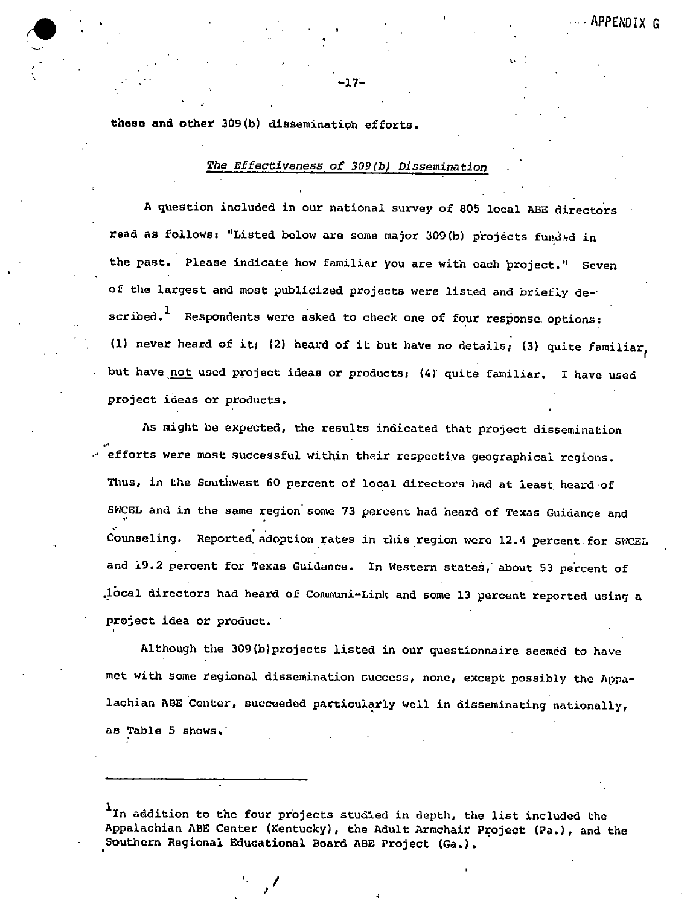**these and other** 309(b) dissemination efforts,

#### *The Effeativeness of 309(b) Dissemination*

-17-

A question included in our national survey of 805 local ABE directors read as follows: "Listed below are some major 309(b) projects funded in the past. Please indicate how familiar you are with each project." Seven of the largest and most publicized projects were listed and briefly de-· scribed.<sup>1</sup> Respondents were asked to check one of four response options: (1) never heard of it; (2) heard of it but have no details; (3) quite familiar, but have not used project ideas or products; (4) quite familiar. I have used project ideas or products.

As might be expected, the results indicated that project dissemination efforts were most successful within their respective geographical regions. Thus, in the Southwest 60 percent of local directors had at least heard of SWCEL and in the.same region' some 73 percent had heard of Texas Guidance and Counseling. Reported adoption rates in this region were 12.4 percent for SWCEL and 19.2 percent for Texas Guidance. In Western states, about 53 percent of .1ocal directors had heard of Communi-Link and some 13 percent reported using a project idea or product.

Although the 309(b)projects listed in our questionnaire seemed to have met with some regional dissemination success, none, except possibly the Appalachian ABE Center, succeeded particularly well in disseminating nationally, as Table 5 shows,·

1 In addition to the four projects studied in depth, the list included the Appalachian ABE Center (Kentucky), the Adult Armchair Project (Pa.), and the Southern Regional Educational Board ABE Project (Ga.),